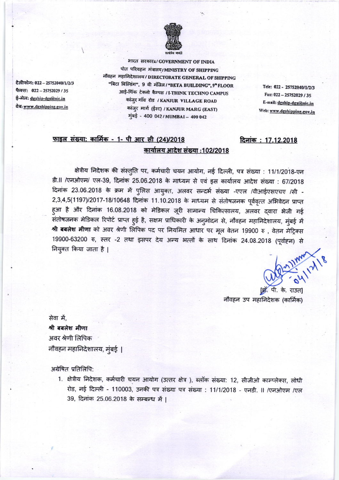

भारत सरकारa/GOVERNMENT OF INDIA पोत परिवहन मंत्रालय/MINISTRY OF SHIPPING नौवहन महानिदेशालय/DIRECTORATE GENERAL OF SHIPPING "बिटा बिल्डिंग", 9 वी मंजिल/"BETA BUILDING", 9ª FLOOR आई-थिंक टेक्नो कैम्पस / I-THINK TECHNO CAMPUS कांजुर गॉव रोड /KANJUR VILLAGE ROAD कांजुर मार्ग (ईस्ट) / KANJUR MARG (EAST) मुंबई - 400 042/MUMBAI - 400 042

Tele: 022 - 25752040/1/2/3 Fax: 022 - 25752029 / 35 E-mail: dgship-dgs@nic.in Web: www.dgshipping.gov.in

दिनांक: 17.12.2018

## फाइल संख्या: कार्मिक - 1- पी आर सी (24)/2018 कार्यालय आदेश संख्या :102/2018

क्षेत्रीय निदेशक की संस्तुति पर, कर्मचारी चयन आयोग, नई दिल्ली, पत्र संख्या : 11/1/2018-एन डी.II /एनओएम/ एल-39, दिनांक 25.06.2018 के माध्यम से एवं इस कार्यालय आदेश संख्या : 67/2018 दिनांक 23.06.2018 के क्रम में पुलिस आयुक्त, अलवर सन्दर्भ संख्या -एएल /वीआईएसएचए /सी -2,3,4,5(1197)/2017-18/10648 दिनांक 11.10.2018 के माध्यम से संतोषजनक पूर्ववृत्त अभिवेदन प्राप्त हुआ है और दिनांक 16.08.2018 को मेडिकल जूरी सामान्य चिकित्सालय, अलवर द्वारा भेजी गई संतोषजनक मेडिकल रिपोर्ट प्राप्त हुई है, सक्षम प्राधिकारी के अनुमोदन से, नौवहन महानिदेशालय, मुंबई में श्री बबलेश मीणा को अवर श्रेणी लिपिक पद पर नियमित आधार पर मूल वेतन 19900 रु , वेतन मेट्रिक्स 19900-63200 रु, स्तर -2 तथा इसपर देय अन्य भत्तों के साथ दिनांक 24.08.2018 (पूर्वाहन) से नियुक्त किया जाता है |

19-21 May 12/18

ड़ा. पी. के. राउत] नौवहन उप महानिदेशक (कार्मिक)

सेवा में. श्री बबलेश मीणा अवर श्रेणी लिपिक नौवहन महानिदेशालय, मुंबई |

अग्रेषित प्रतिलिपि:

1. क्षेत्रीय निदेशक, कर्मचारी चयन आयोग (उत्तर क्षेत्र), ब्लॉक संख्या: 12, सीजीओ काम्प्लेक्स, लोधी रोड, नई दिल्ली - 110003, उनकी पत्र संख्या पत्र संख्या : 11/1/2018 - एनडी. II /एनओएम /एल 39. दिनांक 25.06.2018 के सम्बन्ध में |

टेलीफोन: 022 - 25752040/1/2/3 फैक्स: 022-25752029 / 35 ई-मेल: <u>dgship-dgs@nic.in</u> वेब: www.dgshipping.gov.in